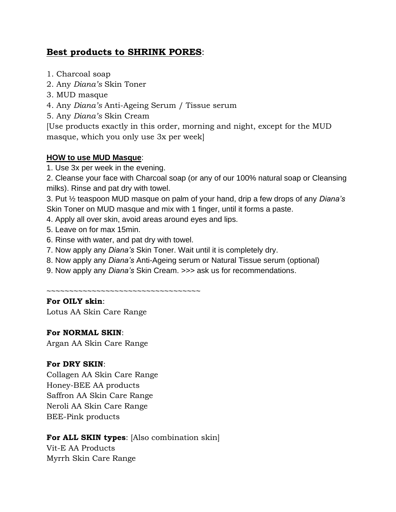# **Best products to SHRINK PORES**:

- 1. Charcoal soap
- 2. Any *Diana's* Skin Toner
- 3. MUD masque
- 4. Any *Diana's* Anti-Ageing Serum / Tissue serum
- 5. Any *Diana's* Skin Cream

[Use products exactly in this order, morning and night, except for the MUD masque, which you only use 3x per week]

# **HOW to use MUD Masque**:

1. Use 3x per week in the evening.

2. Cleanse your face with Charcoal soap (or any of our 100% natural soap or Cleansing milks). Rinse and pat dry with towel.

3. Put ½ teaspoon MUD masque on palm of your hand, drip a few drops of any *Diana's* Skin Toner on MUD masque and mix with 1 finger, until it forms a paste.

- 4. Apply all over skin, avoid areas around eyes and lips.
- 5. Leave on for max 15min.
- 6. Rinse with water, and pat dry with towel.
- 7. Now apply any *Diana's* Skin Toner. Wait until it is completely dry.
- 8. Now apply any *Diana's* Anti-Ageing serum or Natural Tissue serum (optional)
- 9. Now apply any *Diana's* Skin Cream. >>> ask us for recommendations.

~~~~~~~~~~~~~~~~~~~~~~~~~~~~~~~~~~

# **For OILY skin**:

Lotus AA Skin Care Range

### **For NORMAL SKIN**:

Argan AA Skin Care Range

### **For DRY SKIN**:

Collagen AA Skin Care Range Honey-BEE AA products Saffron AA Skin Care Range Neroli AA Skin Care Range BEE-Pink products

# **For ALL SKIN types**: [Also combination skin]

Vit-E AA Products Myrrh Skin Care Range